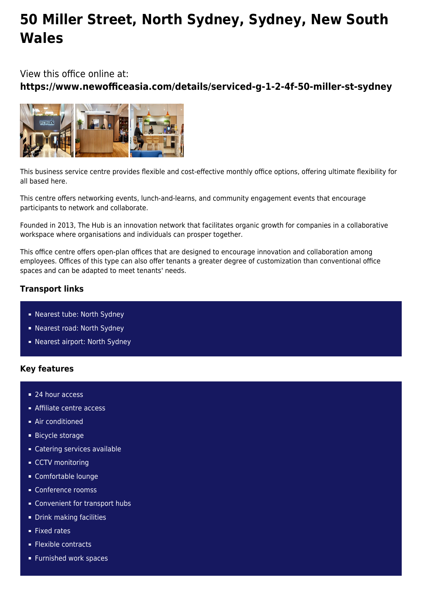# **50 Miller Street, North Sydney, Sydney, New South Wales**

View this office online at:

**https://www.newofficeasia.com/details/serviced-g-1-2-4f-50-miller-st-sydney**



This business service centre provides flexible and cost-effective monthly office options, offering ultimate flexibility for all based here.

This centre offers networking events, lunch-and-learns, and community engagement events that encourage participants to network and collaborate.

Founded in 2013, The Hub is an innovation network that facilitates organic growth for companies in a collaborative workspace where organisations and individuals can prosper together.

This office centre offers open-plan offices that are designed to encourage innovation and collaboration among employees. Offices of this type can also offer tenants a greater degree of customization than conventional office spaces and can be adapted to meet tenants' needs.

## **Transport links**

- Nearest tube: North Sydney
- Nearest road: North Sydney
- Nearest airport: North Sydney

## **Key features**

- 24 hour access
- **Affiliate centre access**
- **Air conditioned**
- **Bicycle storage**
- Catering services available
- **CCTV** monitoring
- Comfortable lounge
- Conference roomss
- **Convenient for transport hubs**
- **Drink making facilities**
- **Fixed rates**
- **Flexible contracts**
- **Furnished work spaces**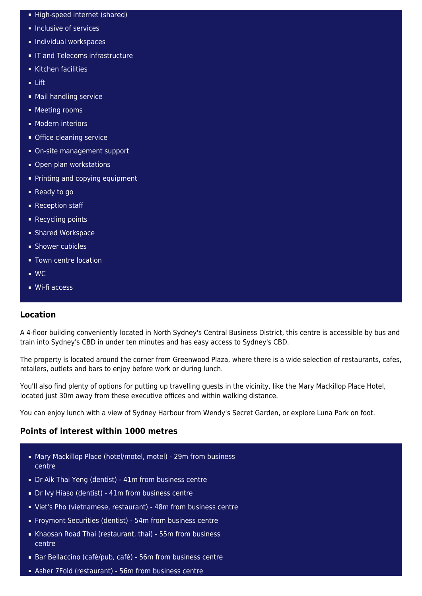- High-speed internet (shared)
- **Inclusive of services**
- **Individual workspaces**
- **IF and Telecoms infrastructure**
- Kitchen facilities
- $-$  Lift
- Mail handling service
- **Meeting rooms**
- **Modern interiors**
- **Office cleaning service**
- On-site management support
- Open plan workstations
- **Printing and copying equipment**
- Ready to go
- Reception staff
- **Recycling points**
- **Shared Workspace**
- **Shower cubicles**
- **Town centre location**
- WC
- Wi-fi access

### **Location**

A 4-floor building conveniently located in North Sydney's Central Business District, this centre is accessible by bus and train into Sydney's CBD in under ten minutes and has easy access to Sydney's CBD.

The property is located around the corner from Greenwood Plaza, where there is a wide selection of restaurants, cafes, retailers, outlets and bars to enjoy before work or during lunch.

You'll also find plenty of options for putting up travelling guests in the vicinity, like the Mary Mackillop Place Hotel, located just 30m away from these executive offices and within walking distance.

You can enjoy lunch with a view of Sydney Harbour from Wendy's Secret Garden, or explore Luna Park on foot.

### **Points of interest within 1000 metres**

- Mary Mackillop Place (hotel/motel, motel) 29m from business centre
- Dr Aik Thai Yeng (dentist) 41m from business centre
- **Dr Ivy Hiaso (dentist) 41m from business centre**
- Viet's Pho (vietnamese, restaurant) 48m from business centre
- Froymont Securities (dentist) 54m from business centre
- Khaosan Road Thai (restaurant, thai) 55m from business centre
- Bar Bellaccino (café/pub, café) 56m from business centre
- Asher 7Fold (restaurant) 56m from business centre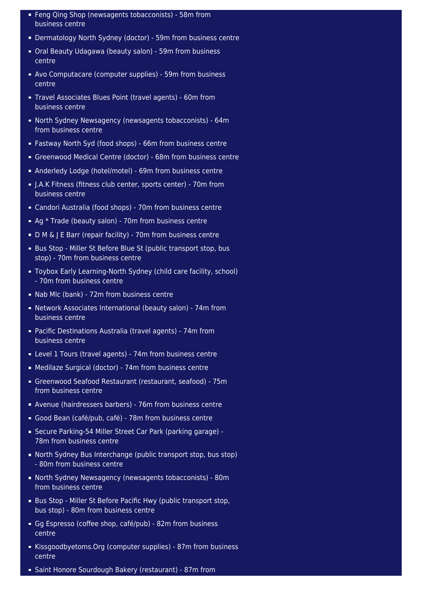- Feng Qing Shop (newsagents tobacconists) 58m from business centre
- Dermatology North Sydney (doctor) 59m from business centre
- Oral Beauty Udagawa (beauty salon) 59m from business centre
- Avo Computacare (computer supplies) 59m from business centre
- Travel Associates Blues Point (travel agents) 60m from business centre
- North Sydney Newsagency (newsagents tobacconists) 64m from business centre
- Fastway North Syd (food shops) 66m from business centre
- Greenwood Medical Centre (doctor) 68m from business centre
- Anderledy Lodge (hotel/motel) 69m from business centre
- J.A.K Fitness (fitness club center, sports center) 70m from business centre
- Candori Australia (food shops) 70m from business centre
- Ag \* Trade (beauty salon) 70m from business centre
- D M & J E Barr (repair facility) 70m from business centre
- Bus Stop Miller St Before Blue St (public transport stop, bus stop) - 70m from business centre
- Toybox Early Learning-North Sydney (child care facility, school) - 70m from business centre
- Nab Mlc (bank) 72m from business centre
- Network Associates International (beauty salon) 74m from business centre
- Pacific Destinations Australia (travel agents) 74m from business centre
- Level 1 Tours (travel agents) 74m from business centre
- Medilaze Surgical (doctor) 74m from business centre
- Greenwood Seafood Restaurant (restaurant, seafood) 75m from business centre
- Avenue (hairdressers barbers) 76m from business centre
- Good Bean (café/pub, café) 78m from business centre
- Secure Parking-54 Miller Street Car Park (parking garage) 78m from business centre
- North Sydney Bus Interchange (public transport stop, bus stop) - 80m from business centre
- North Sydney Newsagency (newsagents tobacconists) 80m from business centre
- Bus Stop Miller St Before Pacific Hwy (public transport stop, bus stop) - 80m from business centre
- Gg Espresso (coffee shop, café/pub) 82m from business centre
- Kissgoodbyetoms. Org (computer supplies) 87m from business centre
- Saint Honore Sourdough Bakery (restaurant) 87m from